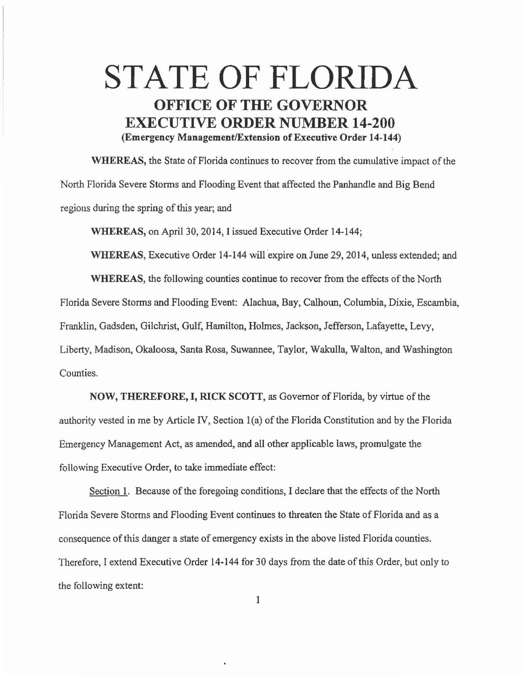## STATE OF FLORIDA OFFICE OF THE GOVERNOR EXECUTIVE ORDER NUMBER 14-200 (Emergency Management/Extension of Executive Order 14-144)

WHEREAS, the State of Florida continues to recover from the cumulative impact of the North Florida Severe Storms and Flooding Event that affected the Panhandle and Big Bend regions during the spring of this year; and

WHEREAS, on April 30, 2014, I issued Executive Order 14-144;

WHEREAS, Executive Order 14-144 will expire on June 29, 2014, unless extended; and WHEREAS, the following counties continue to recover from the effects of the North Florida Severe Storms and Flooding Event: Alachua, Bay, Calhoun, Columbia, Dixie, Escambia, Franklin, Gadsden, Gilchrist, Gulf, Hamilton, Holmes, Jackson, Jefferson, Lafayette, Levy, Liberty, Madison, Okaloosa, Santa Rosa, Suwannee, Taylor, Wakulla, Walton, and Washington Counties.

NOW, THEREFORE, I, RICK SCOTT, as Governor of Florida, by virtue of the authority vested in me by Article IV, Section l(a) of the Florida Constitution and by the Florida Emergency Management Act, as amended, and all other applicable laws, promulgate the following Executive Order, to take immediate effect:

Section 1. Because of the foregoing conditions, I declare that the effects of the North Florida Severe Storms and Flooding Event continues to threaten the State of Florida and as a consequence of this danger a state of emergency exists in the above listed Florida counties. Therefore, I extend Executive Order 14-144 for 30 days from the date of this Order, but only to the following extent: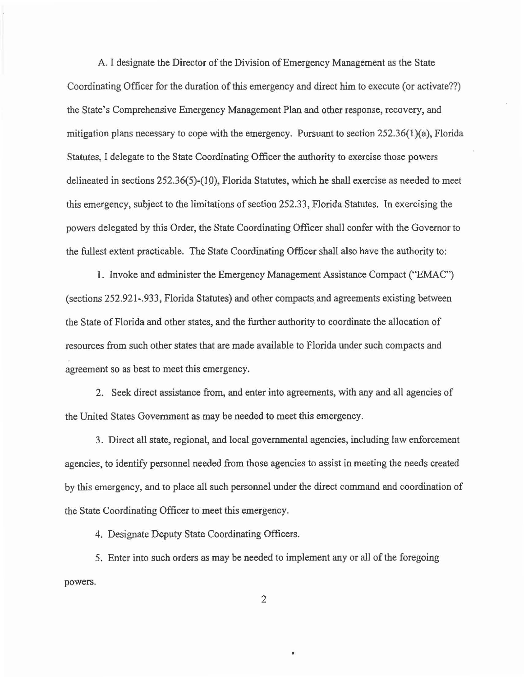A. I designate the Director of the Division of Emergency Management as the State Coordinating Officer for the duration of this emergency and direct him to execute (or activate??) the State's Comprehensive Emergency Management Plan and other response, recovery, and mitigation plans necessary to cope with the emergency. Pursuant to section  $252.36(1)(a)$ , Florida Statutes, I delegate to the State Coordinating Officer the authority to exercise those powers delineated in sections 252.36(5)-(l 0), Florida Statutes, which he shall exercise as needed to meet this emergency, subject to the limitations of section 252.33, Florida Statutes. In exercising the powers delegated by this Order, the State Coordinating Officer shall confer with the Governor to the fullest extent practicable. The State Coordinating Officer shall also have the authority to:

1. Invoke and administer the Emergency Management Assistance Compact ("EMAC") (sections 252.921-.933, Florida Statutes) and other compacts and agreements existing between the State of Florida and other states, and the further authority to coordinate the allocation of resources from such other states that are made available to Florida under such compacts and agreement so as best to meet this emergency.

2. Seek direct assistance from, and enter into agreements, with any and all agencies of the United States Government as may be needed to meet this emergency.

3. Direct all state, regional, and local governmental agencies, including law enforcement agencies, to identify personnel needed from those agencies to assist in meeting the needs created by this emergency, and to place all such personnel under the direct command and coordination of the State Coordinating Officer to meet this emergency.

4. Designate Deputy State Coordinating Officers.

5. Enter into such orders as may be needed to implement any or all of the foregoing powers.